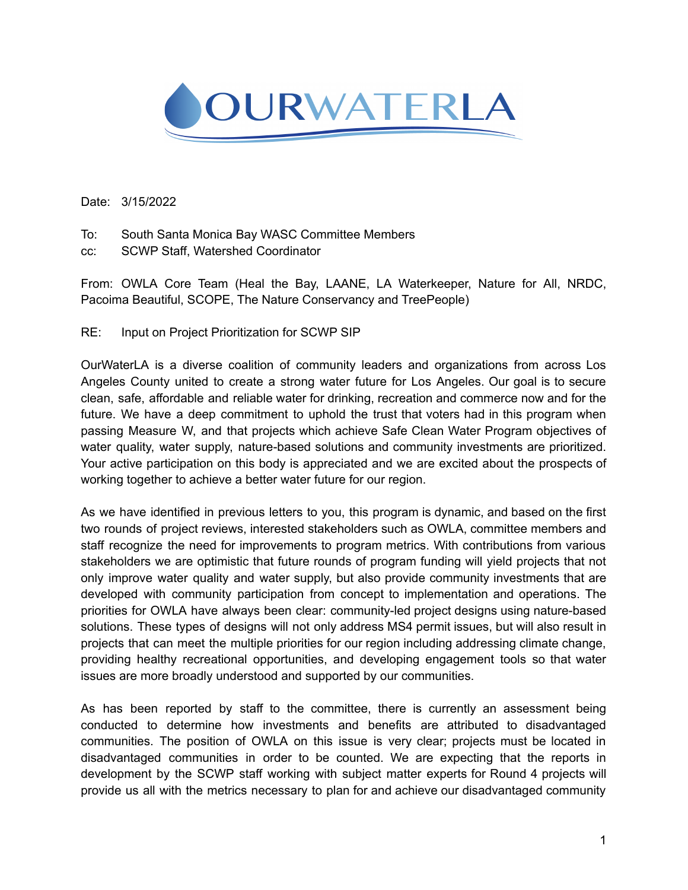

Date: 3/15/2022

- To: South Santa Monica Bay WASC Committee Members
- cc: SCWP Staff, Watershed Coordinator

From: OWLA Core Team (Heal the Bay, LAANE, LA Waterkeeper, Nature for All, NRDC, Pacoima Beautiful, SCOPE, The Nature Conservancy and TreePeople)

RE: Input on Project Prioritization for SCWP SIP

OurWaterLA is a diverse coalition of community leaders and organizations from across Los Angeles County united to create a strong water future for Los Angeles. Our goal is to secure clean, safe, affordable and reliable water for drinking, recreation and commerce now and for the future. We have a deep commitment to uphold the trust that voters had in this program when passing Measure W, and that projects which achieve Safe Clean Water Program objectives of water quality, water supply, nature-based solutions and community investments are prioritized. Your active participation on this body is appreciated and we are excited about the prospects of working together to achieve a better water future for our region.

As we have identified in previous letters to you, this program is dynamic, and based on the first two rounds of project reviews, interested stakeholders such as OWLA, committee members and staff recognize the need for improvements to program metrics. With contributions from various stakeholders we are optimistic that future rounds of program funding will yield projects that not only improve water quality and water supply, but also provide community investments that are developed with community participation from concept to implementation and operations. The priorities for OWLA have always been clear: community-led project designs using nature-based solutions. These types of designs will not only address MS4 permit issues, but will also result in projects that can meet the multiple priorities for our region including addressing climate change, providing healthy recreational opportunities, and developing engagement tools so that water issues are more broadly understood and supported by our communities.

As has been reported by staff to the committee, there is currently an assessment being conducted to determine how investments and benefits are attributed to disadvantaged communities. The position of OWLA on this issue is very clear; projects must be located in disadvantaged communities in order to be counted. We are expecting that the reports in development by the SCWP staff working with subject matter experts for Round 4 projects will provide us all with the metrics necessary to plan for and achieve our disadvantaged community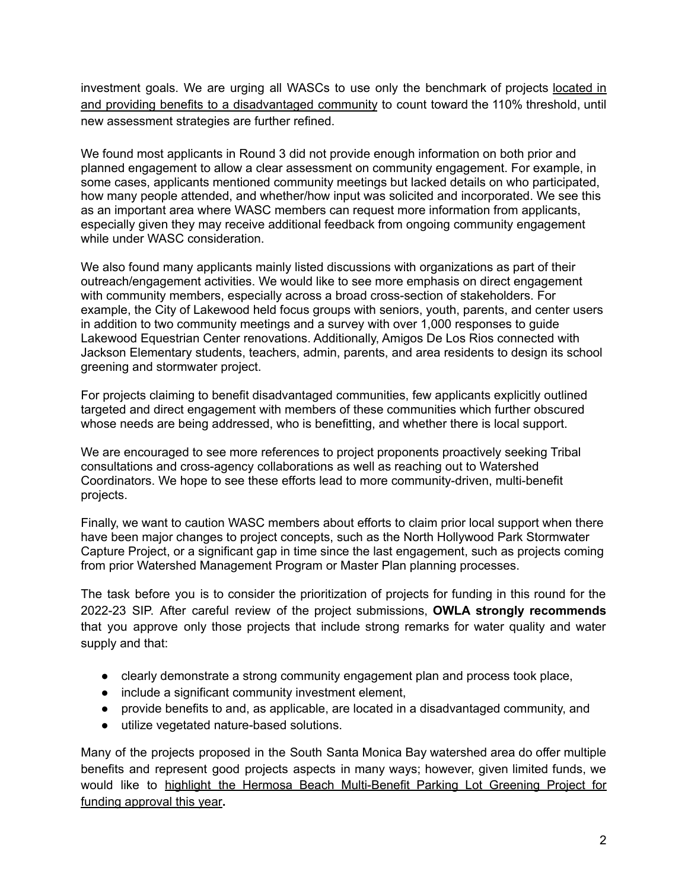investment goals. We are urging all WASCs to use only the benchmark of projects located in and providing benefits to a disadvantaged community to count toward the 110% threshold, until new assessment strategies are further refined.

We found most applicants in Round 3 did not provide enough information on both prior and planned engagement to allow a clear assessment on community engagement. For example, in some cases, applicants mentioned community meetings but lacked details on who participated, how many people attended, and whether/how input was solicited and incorporated. We see this as an important area where WASC members can request more information from applicants, especially given they may receive additional feedback from ongoing community engagement while under WASC consideration.

We also found many applicants mainly listed discussions with organizations as part of their outreach/engagement activities. We would like to see more emphasis on direct engagement with community members, especially across a broad cross-section of stakeholders. For example, the City of Lakewood held focus groups with seniors, youth, parents, and center users in addition to two community meetings and a survey with over 1,000 responses to guide Lakewood Equestrian Center renovations. Additionally, Amigos De Los Rios connected with Jackson Elementary students, teachers, admin, parents, and area residents to design its school greening and stormwater project.

For projects claiming to benefit disadvantaged communities, few applicants explicitly outlined targeted and direct engagement with members of these communities which further obscured whose needs are being addressed, who is benefitting, and whether there is local support.

We are encouraged to see more references to project proponents proactively seeking Tribal consultations and cross-agency collaborations as well as reaching out to Watershed Coordinators. We hope to see these efforts lead to more community-driven, multi-benefit projects.

Finally, we want to caution WASC members about efforts to claim prior local support when there have been major changes to project concepts, such as the North Hollywood Park Stormwater Capture Project, or a significant gap in time since the last engagement, such as projects coming from prior Watershed Management Program or Master Plan planning processes.

The task before you is to consider the prioritization of projects for funding in this round for the 2022-23 SIP. After careful review of the project submissions, **OWLA strongly recommends** that you approve only those projects that include strong remarks for water quality and water supply and that:

- clearly demonstrate a strong community engagement plan and process took place,
- include a significant community investment element,
- provide benefits to and, as applicable, are located in a disadvantaged community, and
- utilize vegetated nature-based solutions.

Many of the projects proposed in the South Santa Monica Bay watershed area do offer multiple benefits and represent good projects aspects in many ways; however, given limited funds, we would like to highlight the Hermosa Beach Multi-Benefit Parking Lot Greening Project for funding approval this year**.**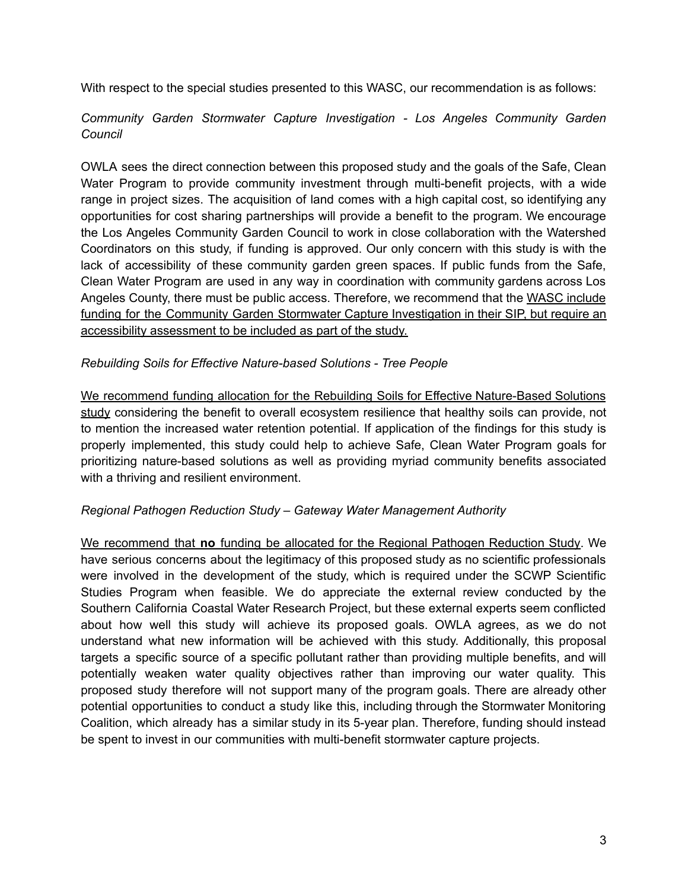With respect to the special studies presented to this WASC, our recommendation is as follows:

## *Community Garden Stormwater Capture Investigation - Los Angeles Community Garden Council*

OWLA sees the direct connection between this proposed study and the goals of the Safe, Clean Water Program to provide community investment through multi-benefit projects, with a wide range in project sizes. The acquisition of land comes with a high capital cost, so identifying any opportunities for cost sharing partnerships will provide a benefit to the program. We encourage the Los Angeles Community Garden Council to work in close collaboration with the Watershed Coordinators on this study, if funding is approved. Our only concern with this study is with the lack of accessibility of these community garden green spaces. If public funds from the Safe, Clean Water Program are used in any way in coordination with community gardens across Los Angeles County, there must be public access. Therefore, we recommend that the WASC include funding for the Community Garden Stormwater Capture Investigation in their SIP, but require an accessibility assessment to be included as part of the study.

## *Rebuilding Soils for Effective Nature-based Solutions - Tree People*

We recommend funding allocation for the Rebuilding Soils for Effective Nature-Based Solutions study considering the benefit to overall ecosystem resilience that healthy soils can provide, not to mention the increased water retention potential. If application of the findings for this study is properly implemented, this study could help to achieve Safe, Clean Water Program goals for prioritizing nature-based solutions as well as providing myriad community benefits associated with a thriving and resilient environment.

## *Regional Pathogen Reduction Study – Gateway Water Management Authority*

We recommend that **no** funding be allocated for the Regional Pathogen Reduction Study. We have serious concerns about the legitimacy of this proposed study as no scientific professionals were involved in the development of the study, which is required under the SCWP Scientific Studies Program when feasible. We do appreciate the external review conducted by the Southern California Coastal Water Research Project, but these external experts seem conflicted about how well this study will achieve its proposed goals. OWLA agrees, as we do not understand what new information will be achieved with this study. Additionally, this proposal targets a specific source of a specific pollutant rather than providing multiple benefits, and will potentially weaken water quality objectives rather than improving our water quality. This proposed study therefore will not support many of the program goals. There are already other potential opportunities to conduct a study like this, including through the Stormwater Monitoring Coalition, which already has a similar study in its 5-year plan. Therefore, funding should instead be spent to invest in our communities with multi-benefit stormwater capture projects.